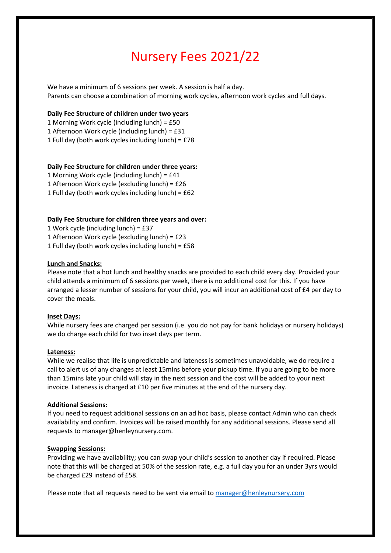# Nursery Fees 2021/22

We have a minimum of 6 sessions per week. A session is half a day. Parents can choose a combination of morning work cycles, afternoon work cycles and full days.

#### **Daily Fee Structure of children under two years**

- 1 Morning Work cycle (including lunch) = £50
- 1 Afternoon Work cycle (including lunch) = £31
- 1 Full day (both work cycles including lunch) = £78

# **Daily Fee Structure for children under three years:**

- 1 Morning Work cycle (including lunch) = £41
- 1 Afternoon Work cycle (excluding lunch) = £26
- 1 Full day (both work cycles including lunch) = £62

# **Daily Fee Structure for children three years and over:**

1 Work cycle (including lunch) = £37

- 1 Afternoon Work cycle (excluding lunch) = £23
- 1 Full day (both work cycles including lunch) = £58

#### **Lunch and Snacks:**

Please note that a hot lunch and healthy snacks are provided to each child every day. Provided your child attends a minimum of 6 sessions per week, there is no additional cost for this. If you have arranged a lesser number of sessions for your child, you will incur an additional cost of £4 per day to cover the meals.

#### **Inset Days:**

While nursery fees are charged per session (i.e. you do not pay for bank holidays or nursery holidays) we do charge each child for two inset days per term.

#### **Lateness:**

While we realise that life is unpredictable and lateness is sometimes unavoidable, we do require a call to alert us of any changes at least 15mins before your pickup time. If you are going to be more than 15mins late your child will stay in the next session and the cost will be added to your next invoice. Lateness is charged at £10 per five minutes at the end of the nursery day.

#### **Additional Sessions:**

If you need to request additional sessions on an ad hoc basis, please contact Admin who can check availability and confirm. Invoices will be raised monthly for any additional sessions. Please send all requests to manager@henleynursery.com.

#### **Swapping Sessions:**

Providing we have availability; you can swap your child's session to another day if required. Please note that this will be charged at 50% of the session rate, e.g. a full day you for an under 3yrs would be charged £29 instead of £58.

Please note that all requests need to be sent via email to [manager@henleynursery.com](mailto:manager@henleynursery.com)